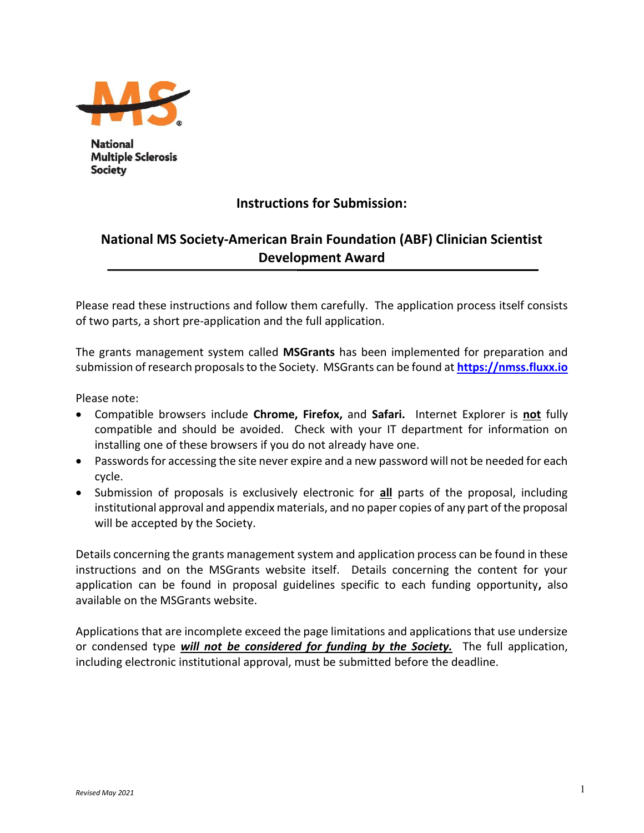

**National Multiple Sclerosis Society** 

# **Instructions for Submission:**

# **National MS Society-American Brain Foundation (ABF) Clinician Scientist Development Award**

Please read these instructions and follow them carefully. The application process itself consists of two parts, a short pre-application and the full application.

The grants management system called **MSGrants** has been implemented for preparation and submission of research proposals to the Society. MSGrants can be found at **[https://nmss.fluxx.io](https://nmss.fluxx.io/)**

Please note:

- Compatible browsers include **Chrome, Firefox,** and **Safari.** Internet Explorer is **not** fully compatible and should be avoided. Check with your IT department for information on installing one of these browsers if you do not already have one.
- Passwords for accessing the site never expire and a new password will not be needed for each cycle.
- Submission of proposals is exclusively electronic for **all** parts of the proposal, including institutional approval and appendix materials, and no paper copies of any part of the proposal will be accepted by the Society.

Details concerning the grants management system and application process can be found in these instructions and on the MSGrants website itself. Details concerning the content for your application can be found in proposal guidelines specific to each funding opportunity**,** also available on the MSGrants website.

Applications that are incomplete exceed the page limitations and applications that use undersize or condensed type *will not be considered for funding by the Society.* The full application, including electronic institutional approval, must be submitted before the deadline.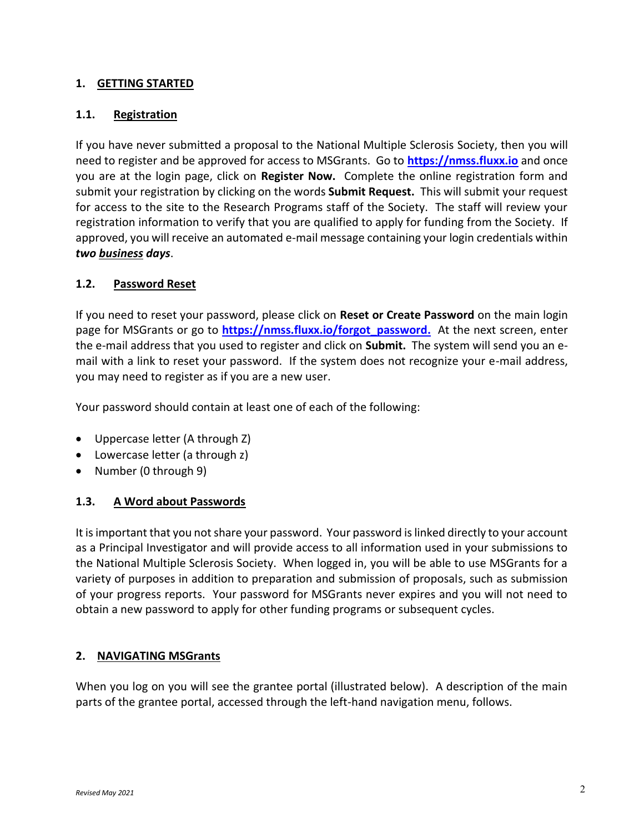#### **1. GETTING STARTED**

#### **1.1. Registration**

If you have never submitted a proposal to the National Multiple Sclerosis Society, then you will need to register and be approved for access to MSGrants. Go to **[https://nmss.fluxx.io](https://nmss.fluxx.io/)** and once you are at the login page, click on **Register Now.** Complete the online registration form and submit your registration by clicking on the words **Submit Request.** This will submit your request for access to the site to the Research Programs staff of the Society. The staff will review your registration information to verify that you are qualified to apply for funding from the Society. If approved, you will receive an automated e-mail message containing your login credentials within *two business days*.

#### **1.2. Password Reset**

If you need to reset your password, please click on **Reset or Create Password** on the main login page for MSGrants or go to **[https://nmss.fluxx.io/forgot\\_password.](https://nmss.fluxx.io/forgot_password)** At the next screen, enter the e-mail address that you used to register and click on **Submit.** The system will send you an email with a link to reset your password. If the system does not recognize your e-mail address, you may need to register as if you are a new user.

Your password should contain at least one of each of the following:

- Uppercase letter (A through Z)
- Lowercase letter (a through z)
- Number (0 through 9)

### **1.3. A Word about Passwords**

It is important that you not share your password. Your password is linked directly to your account as a Principal Investigator and will provide access to all information used in your submissions to the National Multiple Sclerosis Society. When logged in, you will be able to use MSGrants for a variety of purposes in addition to preparation and submission of proposals, such as submission of your progress reports. Your password for MSGrants never expires and you will not need to obtain a new password to apply for other funding programs or subsequent cycles.

### **2. NAVIGATING MSGrants**

When you log on you will see the grantee portal (illustrated below). A description of the main parts of the grantee portal, accessed through the left-hand navigation menu, follows.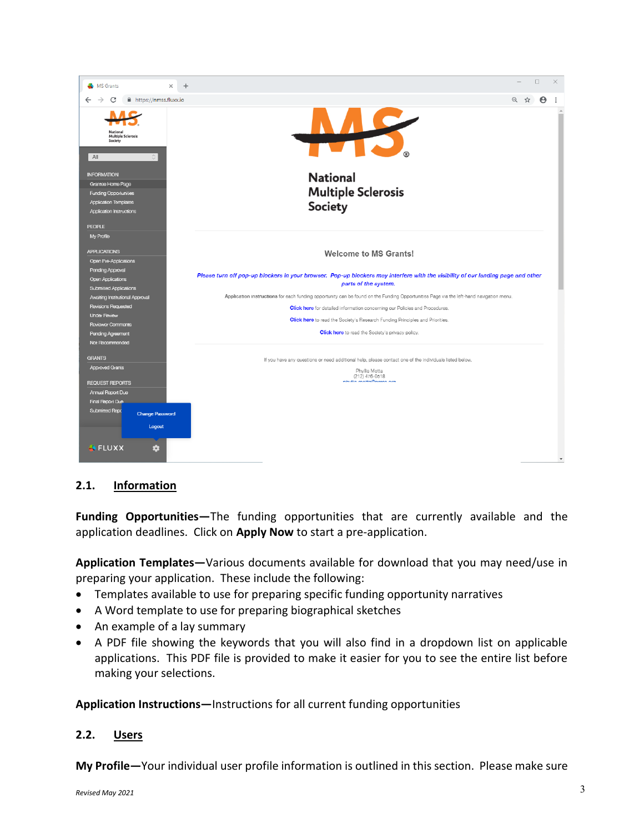

### **2.1. Information**

**Funding Opportunities—**The funding opportunities that are currently available and the application deadlines. Click on **Apply Now** to start a pre-application.

**Application Templates—**Various documents available for download that you may need/use in preparing your application. These include the following:

- Templates available to use for preparing specific funding opportunity narratives
- A Word template to use for preparing biographical sketches
- An example of a lay summary
- A PDF file showing the keywords that you will also find in a dropdown list on applicable applications. This PDF file is provided to make it easier for you to see the entire list before making your selections.

**Application Instructions—**Instructions for all current funding opportunities

#### **2.2. Users**

**My Profile—**Your individual user profile information is outlined in this section. Please make sure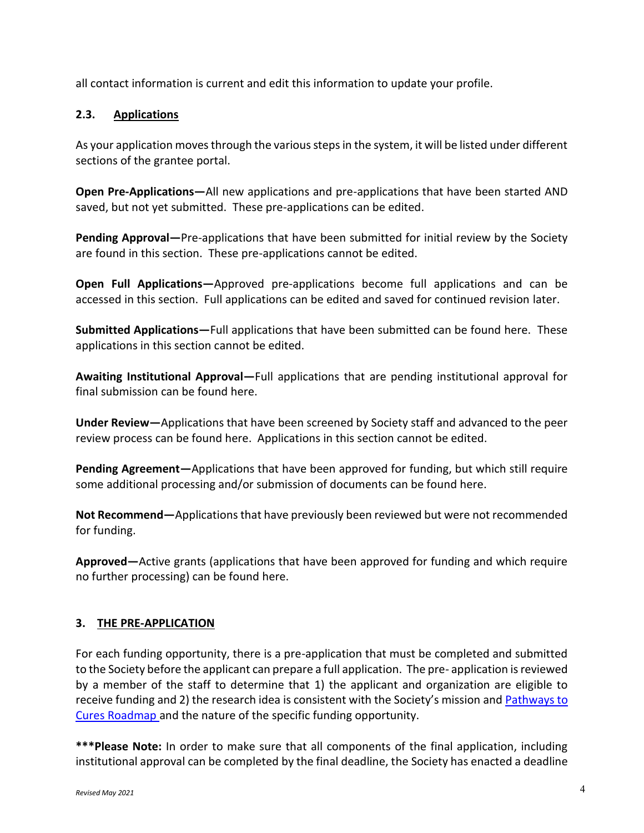all contact information is current and edit this information to update your profile.

### **2.3. Applications**

As your application moves through the various steps in the system, it will be listed under different sections of the grantee portal.

**Open Pre-Applications—**All new applications and pre-applications that have been started AND saved, but not yet submitted. These pre-applications can be edited.

**Pending Approval—**Pre-applications that have been submitted for initial review by the Society are found in this section. These pre-applications cannot be edited.

**Open Full Applications—**Approved pre-applications become full applications and can be accessed in this section. Full applications can be edited and saved for continued revision later.

**Submitted Applications—**Full applications that have been submitted can be found here. These applications in this section cannot be edited.

**Awaiting Institutional Approval—**Full applications that are pending institutional approval for final submission can be found here.

**Under Review—**Applications that have been screened by Society staff and advanced to the peer review process can be found here. Applications in this section cannot be edited.

**Pending Agreement—**Applications that have been approved for funding, but which still require some additional processing and/or submission of documents can be found here.

**Not Recommend—**Applications that have previously been reviewed but were not recommended for funding.

**Approved—**Active grants (applications that have been approved for funding and which require no further processing) can be found here.

### **3. THE PRE-APPLICATION**

For each funding opportunity, there is a pre-application that must be completed and submitted to the Society before the applicant can prepare a full application. The pre- application is reviewed by a member of the staff to determine that 1) the applicant and organization are eligible to receive funding and 2) the research idea is consistent with the Society's mission and [Pathways to](https://nmsscdn.azureedge.net/NationalMSSociety/media/MSNationalFiles/Research/Pathways_To_Cures_Executive_Summaries.pdf)  [Cures Roadmap](https://nmsscdn.azureedge.net/NationalMSSociety/media/MSNationalFiles/Research/Pathways_To_Cures_Executive_Summaries.pdf) and the nature of the specific funding opportunity.

**\*\*\*Please Note:** In order to make sure that all components of the final application, including institutional approval can be completed by the final deadline, the Society has enacted a deadline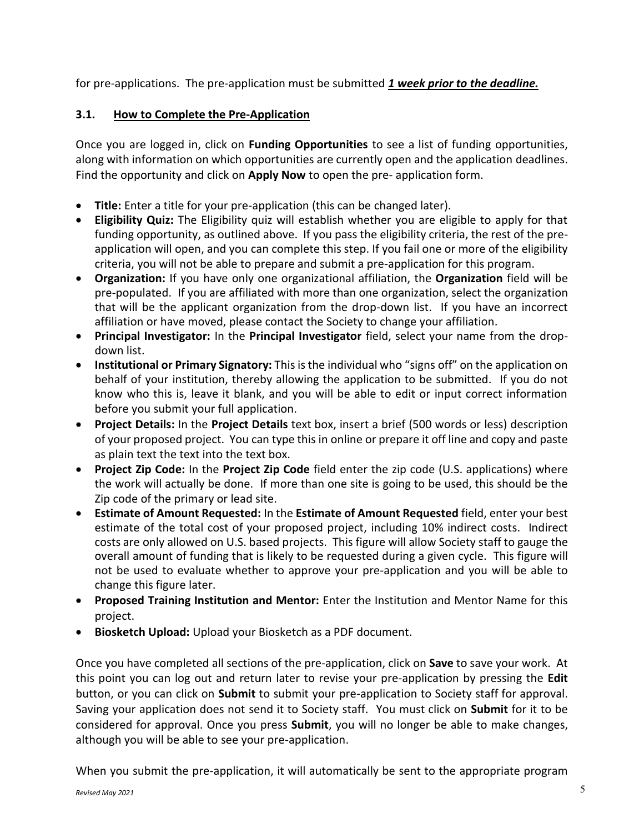for pre-applications. The pre-application must be submitted *1 week prior to the deadline.*

### **3.1. How to Complete the Pre-Application**

Once you are logged in, click on **Funding Opportunities** to see a list of funding opportunities, along with information on which opportunities are currently open and the application deadlines. Find the opportunity and click on **Apply Now** to open the pre- application form.

- **Title:** Enter a title for your pre-application (this can be changed later).
- **Eligibility Quiz:** The Eligibility quiz will establish whether you are eligible to apply for that funding opportunity, as outlined above. If you pass the eligibility criteria, the rest of the preapplication will open, and you can complete this step. If you fail one or more of the eligibility criteria, you will not be able to prepare and submit a pre-application for this program.
- **Organization:** If you have only one organizational affiliation, the **Organization** field will be pre-populated. If you are affiliated with more than one organization, select the organization that will be the applicant organization from the drop-down list. If you have an incorrect affiliation or have moved, please contact the Society to change your affiliation.
- **Principal Investigator:** In the **Principal Investigator** field, select your name from the dropdown list.
- **Institutional or Primary Signatory:** This is the individual who "signs off" on the application on behalf of your institution, thereby allowing the application to be submitted. If you do not know who this is, leave it blank, and you will be able to edit or input correct information before you submit your full application.
- **Project Details:** In the **Project Details** text box, insert a brief (500 words or less) description of your proposed project. You can type this in online or prepare it off line and copy and paste as plain text the text into the text box.
- **Project Zip Code:** In the **Project Zip Code** field enter the zip code (U.S. applications) where the work will actually be done. If more than one site is going to be used, this should be the Zip code of the primary or lead site.
- **Estimate of Amount Requested:** In the **Estimate of Amount Requested** field, enter your best estimate of the total cost of your proposed project, including 10% indirect costs. Indirect costs are only allowed on U.S. based projects. This figure will allow Society staff to gauge the overall amount of funding that is likely to be requested during a given cycle. This figure will not be used to evaluate whether to approve your pre-application and you will be able to change this figure later.
- **Proposed Training Institution and Mentor:** Enter the Institution and Mentor Name for this project.
- **Biosketch Upload:** Upload your Biosketch as a PDF document.

Once you have completed all sections of the pre-application, click on **Save** to save your work. At this point you can log out and return later to revise your pre-application by pressing the **Edit**  button, or you can click on **Submit** to submit your pre-application to Society staff for approval. Saving your application does not send it to Society staff. You must click on **Submit** for it to be considered for approval. Once you press **Submit**, you will no longer be able to make changes, although you will be able to see your pre-application.

When you submit the pre-application, it will automatically be sent to the appropriate program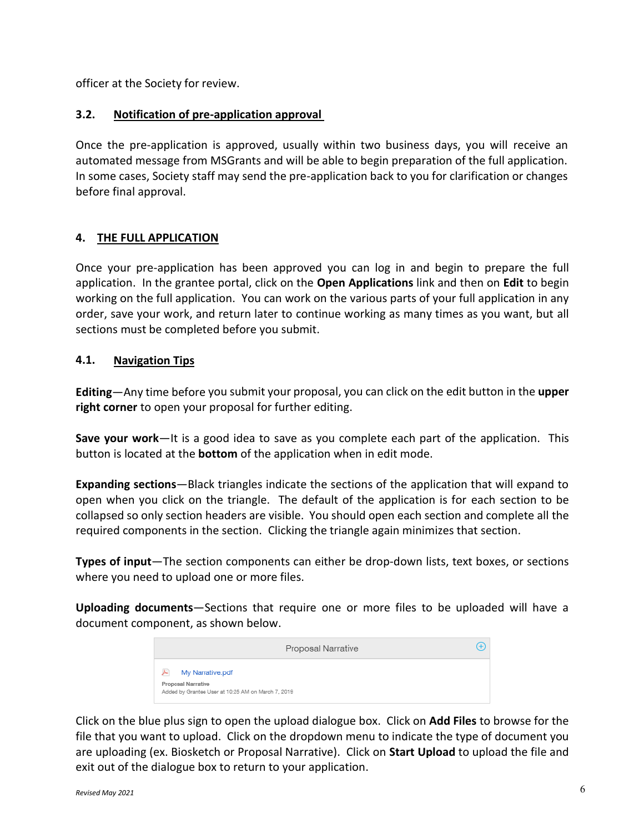officer at the Society for review.

#### **3.2. Notification of pre-application approval**

Once the pre-application is approved, usually within two business days, you will receive an automated message from MSGrants and will be able to begin preparation of the full application. In some cases, Society staff may send the pre-application back to you for clarification or changes before final approval.

#### **4. THE FULL APPLICATION**

Once your pre-application has been approved you can log in and begin to prepare the full application. In the grantee portal, click on the **Open Applications** link and then on **Edit** to begin working on the full application. You can work on the various parts of your full application in any order, save your work, and return later to continue working as many times as you want, but all sections must be completed before you submit.

#### **4.1. Navigation Tips**

**Editing**—Any time before you submit your proposal, you can click on the edit button in the **upper right corner** to open your proposal for further editing.

**Save your work**—It is a good idea to save as you complete each part of the application. This button is located at the **bottom** of the application when in edit mode.

**Expanding sections**—Black triangles indicate the sections of the application that will expand to open when you click on the triangle. The default of the application is for each section to be collapsed so only section headers are visible. You should open each section and complete all the required components in the section. Clicking the triangle again minimizes that section.

**Types of input**—The section components can either be drop-down lists, text boxes, or sections where you need to upload one or more files.

**Uploading documents**—Sections that require one or more files to be uploaded will have a document component, as shown below.

| Proposal Narrative                                                       | $^{+}$ |
|--------------------------------------------------------------------------|--------|
| My Narrative.pdf<br>ᆈ                                                    |        |
| Proposal Narrative<br>Added by Grantee User at 10:25 AM on March 7, 2019 |        |

Click on the blue plus sign to open the upload dialogue box. Click on **Add Files** to browse for the file that you want to upload. Click on the dropdown menu to indicate the type of document you are uploading (ex. Biosketch or Proposal Narrative). Click on **Start Upload** to upload the file and exit out of the dialogue box to return to your application.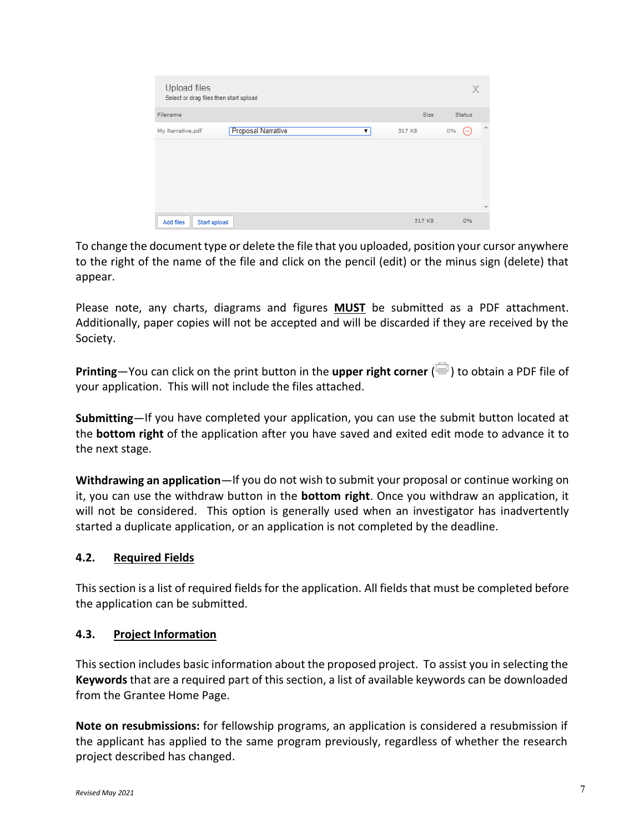| Upload files<br>Select or drag files then start upload |        | X              |                          |
|--------------------------------------------------------|--------|----------------|--------------------------|
| Filename                                               | Size   | Status         |                          |
| Proposal Narrative<br>My Narrative.pdf<br>۷.           | 517 KB | $0\%$<br>$(-)$ | $\Delta$                 |
|                                                        |        |                | $\overline{\mathcal{M}}$ |
| Start upload<br>Add files                              | 517 KB | 0%             |                          |

To change the document type or delete the file that you uploaded, position your cursor anywhere to the right of the name of the file and click on the pencil (edit) or the minus sign (delete) that appear.

Please note, any charts, diagrams and figures **MUST** be submitted as a PDF attachment. Additionally, paper copies will not be accepted and will be discarded if they are received by the Society.

**Printing**—You can click on the print button in the **upper right corner** ( $\blacksquare$ ) to obtain a PDF file of your application. This will not include the files attached.

**Submitting**—If you have completed your application, you can use the submit button located at the **bottom right** of the application after you have saved and exited edit mode to advance it to the next stage.

**Withdrawing an application**—If you do not wish to submit your proposal or continue working on it, you can use the withdraw button in the **bottom right**. Once you withdraw an application, it will not be considered. This option is generally used when an investigator has inadvertently started a duplicate application, or an application is not completed by the deadline.

### **4.2. Required Fields**

This section is a list of required fields for the application. All fields that must be completed before the application can be submitted.

#### **4.3. Project Information**

This section includes basic information about the proposed project. To assist you in selecting the **Keywords** that are a required part of this section, a list of available keywords can be downloaded from the Grantee Home Page.

**Note on resubmissions:** for fellowship programs, an application is considered a resubmission if the applicant has applied to the same program previously, regardless of whether the research project described has changed.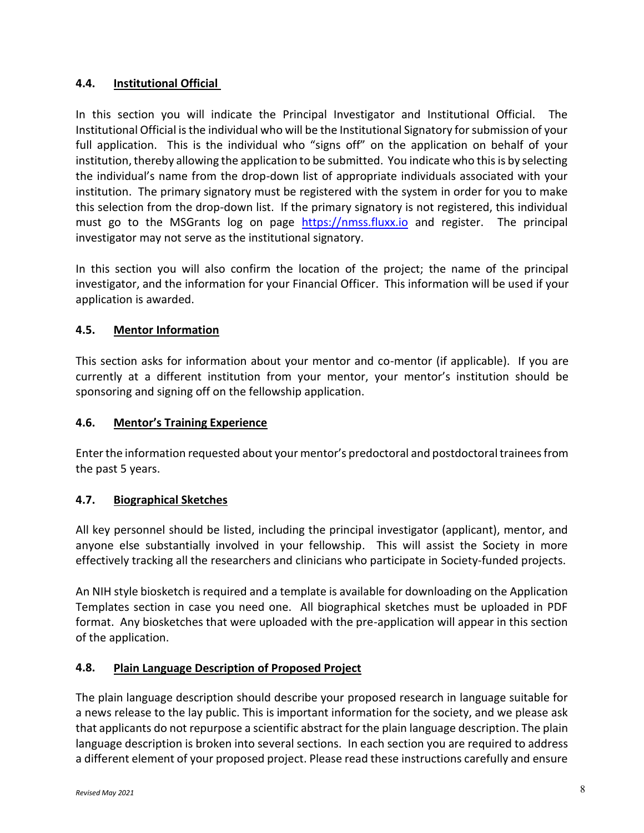### **4.4. Institutional Official**

In this section you will indicate the Principal Investigator and Institutional Official. The Institutional Official is the individual who will be the Institutional Signatory for submission of your full application. This is the individual who "signs off" on the application on behalf of your institution, thereby allowing the application to be submitted. You indicate who this is by selecting the individual's name from the drop-down list of appropriate individuals associated with your institution. The primary signatory must be registered with the system in order for you to make this selection from the drop-down list. If the primary signatory is not registered, this individual must go to the MSGrants log on page [https://nmss.fluxx.io](https://nmss.fluxx.io/) and register. The principal investigator may not serve as the institutional signatory.

In this section you will also confirm the location of the project; the name of the principal investigator, and the information for your Financial Officer. This information will be used if your application is awarded.

### **4.5. Mentor Information**

This section asks for information about your mentor and co-mentor (if applicable). If you are currently at a different institution from your mentor, your mentor's institution should be sponsoring and signing off on the fellowship application.

### **4.6. Mentor's Training Experience**

Enter the information requested about your mentor's predoctoral and postdoctoral trainees from the past 5 years.

### **4.7. Biographical Sketches**

All key personnel should be listed, including the principal investigator (applicant), mentor, and anyone else substantially involved in your fellowship. This will assist the Society in more effectively tracking all the researchers and clinicians who participate in Society-funded projects.

An NIH style biosketch is required and a template is available for downloading on the Application Templates section in case you need one. All biographical sketches must be uploaded in PDF format. Any biosketches that were uploaded with the pre-application will appear in this section of the application.

### **4.8. Plain Language Description of Proposed Project**

The plain language description should describe your proposed research in language suitable for a news release to the lay public. This is important information for the society, and we please ask that applicants do not repurpose a scientific abstract for the plain language description. The plain language description is broken into several sections. In each section you are required to address a different element of your proposed project. Please read these instructions carefully and ensure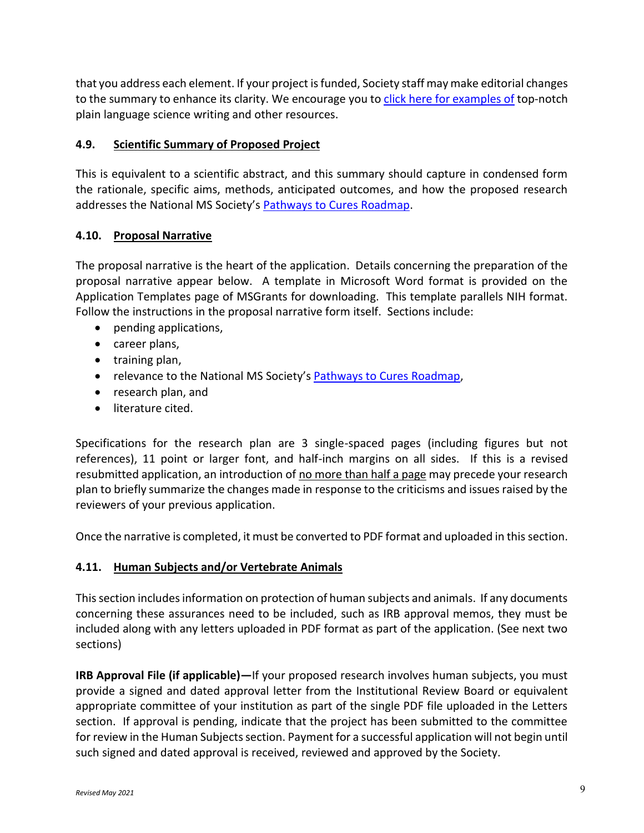that you address each element. If your project is funded, Society staff may make editorial changes to the summary to enhance its clarity. We encourage you to click here for [examples of](https://www.nationalmssociety.org/NationalMSSociety/media/MSNationalFiles/Research/Examples_of_Plain_Language_Summaries.pdf) top-notch plain language science writing and other resources.

### **4.9. Scientific Summary of Proposed Project**

This is equivalent to a scientific abstract, and this summary should capture in condensed form the rationale, specific aims, methods, anticipated outcomes, and how the proposed research addresses the National MS Society's [Pathways to Cures Roadmap.](https://nmsscdn.azureedge.net/NationalMSSociety/media/MSNationalFiles/Research/Pathways_To_Cures_Executive_Summaries.pdf)

### **4.10. Proposal Narrative**

The proposal narrative is the heart of the application. Details concerning the preparation of the proposal narrative appear below. A template in Microsoft Word format is provided on the Application Templates page of MSGrants for downloading. This template parallels NIH format. Follow the instructions in the proposal narrative form itself. Sections include:

- pending applications,
- career plans,
- training plan,
- relevance to the National MS Society's [Pathways to Cures Roadmap,](https://nmsscdn.azureedge.net/NationalMSSociety/media/MSNationalFiles/Research/Pathways_To_Cures_Executive_Summaries.pdf)
- research plan, and
- literature cited.

Specifications for the research plan are 3 single-spaced pages (including figures but not references), 11 point or larger font, and half-inch margins on all sides. If this is a revised resubmitted application, an introduction of no more than half a page may precede your research plan to briefly summarize the changes made in response to the criticisms and issues raised by the reviewers of your previous application.

Once the narrative is completed, it must be converted to PDF format and uploaded in this section.

### **4.11. Human Subjects and/or Vertebrate Animals**

This section includes information on protection of human subjects and animals. If any documents concerning these assurances need to be included, such as IRB approval memos, they must be included along with any letters uploaded in PDF format as part of the application. (See next two sections)

**IRB Approval File (if applicable)—**If your proposed research involves human subjects, you must provide a signed and dated approval letter from the Institutional Review Board or equivalent appropriate committee of your institution as part of the single PDF file uploaded in the Letters section. If approval is pending, indicate that the project has been submitted to the committee for review in the Human Subjects section. Payment for a successful application will not begin until such signed and dated approval is received, reviewed and approved by the Society.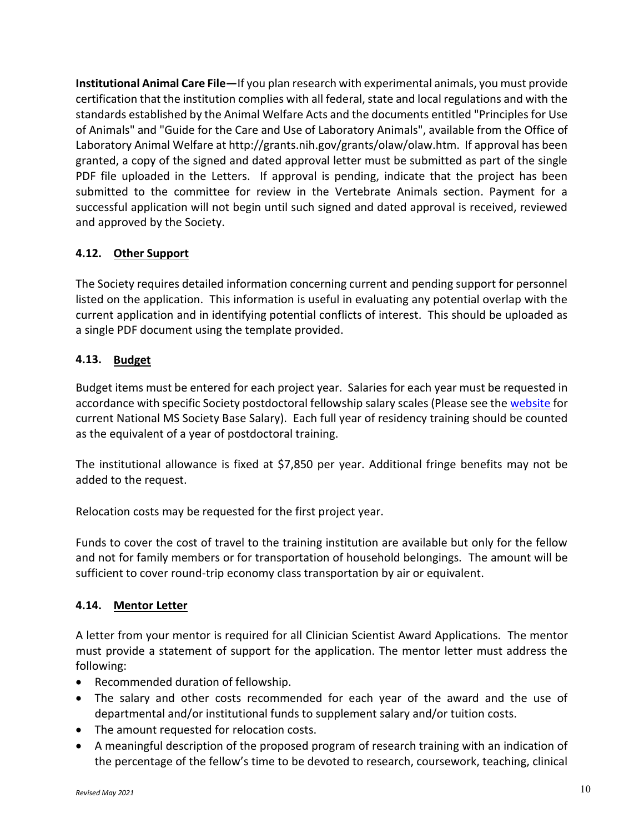**Institutional Animal Care File—**If you plan research with experimental animals, you must provide certification that the institution complies with all federal, state and local regulations and with the standards established by the Animal Welfare Acts and the documents entitled "Principles for Use of Animals" and "Guide for the Care and Use of Laboratory Animals", available from the Office of Laboratory Animal Welfare at http://grants.nih.gov/grants/olaw/olaw.htm. If approval has been granted, a copy of the signed and dated approval letter must be submitted as part of the single PDF file uploaded in the Letters. If approval is pending, indicate that the project has been submitted to the committee for review in the Vertebrate Animals section. Payment for a successful application will not begin until such signed and dated approval is received, reviewed and approved by the Society.

### **4.12. Other Support**

The Society requires detailed information concerning current and pending support for personnel listed on the application. This information is useful in evaluating any potential overlap with the current application and in identifying potential conflicts of interest. This should be uploaded as a single PDF document using the template provided.

### **4.13. Budget**

Budget items must be entered for each project year. Salaries for each year must be requested in accordance with specific Society postdoctoral fellowship salary scales (Please see the [website](http://www.nationalmssociety.org/NationalMSSociety/media/MSNationalFiles/Research/Fellowship-Stipend-Levels.pdf) for current National MS Society Base Salary). Each full year of residency training should be counted as the equivalent of a year of postdoctoral training.

The institutional allowance is fixed at \$7,850 per year. Additional fringe benefits may not be added to the request.

Relocation costs may be requested for the first project year.

Funds to cover the cost of travel to the training institution are available but only for the fellow and not for family members or for transportation of household belongings. The amount will be sufficient to cover round-trip economy class transportation by air or equivalent.

### **4.14. Mentor Letter**

A letter from your mentor is required for all Clinician Scientist Award Applications. The mentor must provide a statement of support for the application. The mentor letter must address the following:

- Recommended duration of fellowship.
- The salary and other costs recommended for each year of the award and the use of departmental and/or institutional funds to supplement salary and/or tuition costs.
- The amount requested for relocation costs.
- A meaningful description of the proposed program of research training with an indication of the percentage of the fellow's time to be devoted to research, coursework, teaching, clinical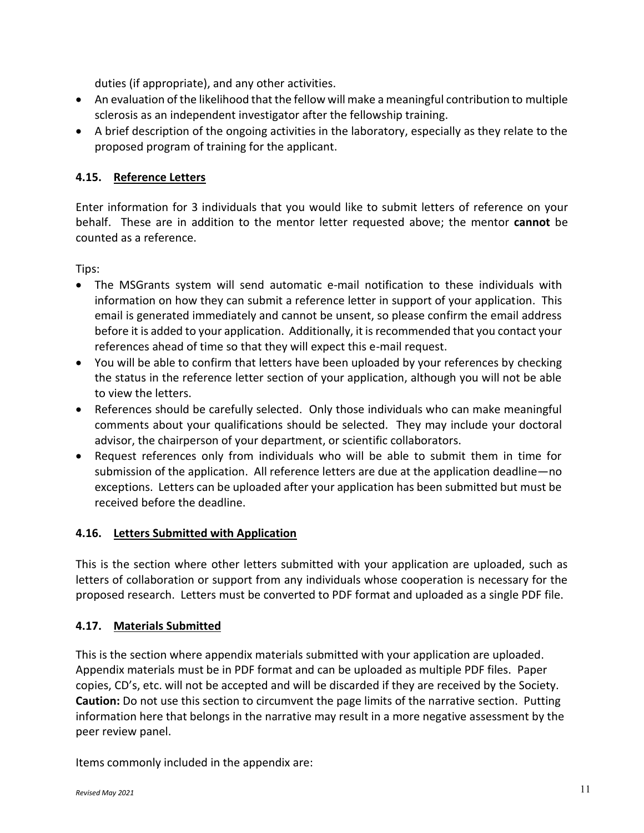duties (if appropriate), and any other activities.

- An evaluation of the likelihood that the fellow will make a meaningful contribution to multiple sclerosis as an independent investigator after the fellowship training.
- A brief description of the ongoing activities in the laboratory, especially as they relate to the proposed program of training for the applicant.

## **4.15. Reference Letters**

Enter information for 3 individuals that you would like to submit letters of reference on your behalf. These are in addition to the mentor letter requested above; the mentor **cannot** be counted as a reference.

Tips:

- The MSGrants system will send automatic e-mail notification to these individuals with information on how they can submit a reference letter in support of your application. This email is generated immediately and cannot be unsent, so please confirm the email address before it is added to your application. Additionally, it is recommended that you contact your references ahead of time so that they will expect this e-mail request.
- You will be able to confirm that letters have been uploaded by your references by checking the status in the reference letter section of your application, although you will not be able to view the letters.
- References should be carefully selected. Only those individuals who can make meaningful comments about your qualifications should be selected. They may include your doctoral advisor, the chairperson of your department, or scientific collaborators.
- Request references only from individuals who will be able to submit them in time for submission of the application. All reference letters are due at the application deadline—no exceptions. Letters can be uploaded after your application has been submitted but must be received before the deadline.

### **4.16. Letters Submitted with Application**

This is the section where other letters submitted with your application are uploaded, such as letters of collaboration or support from any individuals whose cooperation is necessary for the proposed research. Letters must be converted to PDF format and uploaded as a single PDF file.

### **4.17. Materials Submitted**

This is the section where appendix materials submitted with your application are uploaded. Appendix materials must be in PDF format and can be uploaded as multiple PDF files. Paper copies, CD's, etc. will not be accepted and will be discarded if they are received by the Society. **Caution:** Do not use this section to circumvent the page limits of the narrative section. Putting information here that belongs in the narrative may result in a more negative assessment by the peer review panel.

Items commonly included in the appendix are: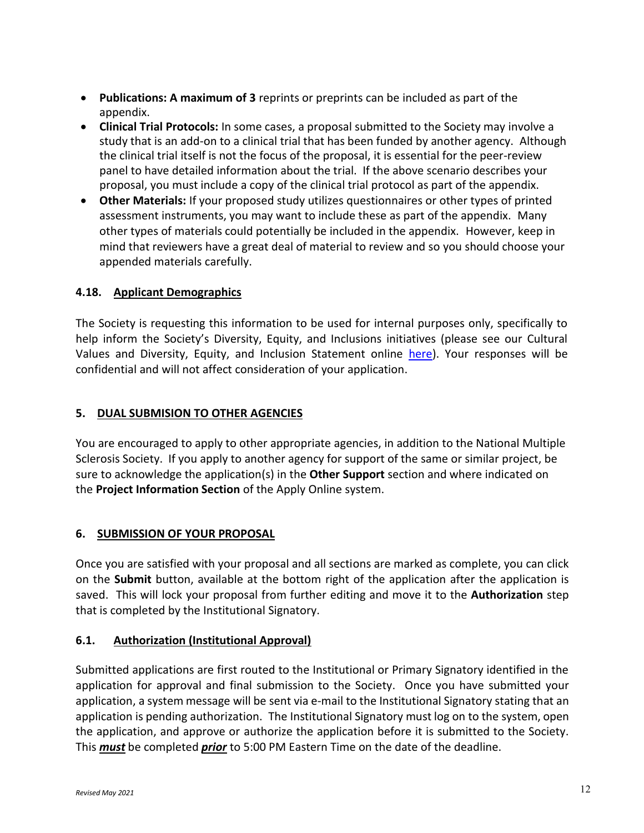- **Publications: A maximum of 3** reprints or preprints can be included as part of the appendix.
- **Clinical Trial Protocols:** In some cases, a proposal submitted to the Society may involve a study that is an add-on to a clinical trial that has been funded by another agency. Although the clinical trial itself is not the focus of the proposal, it is essential for the peer-review panel to have detailed information about the trial. If the above scenario describes your proposal, you must include a copy of the clinical trial protocol as part of the appendix.
- **Other Materials:** If your proposed study utilizes questionnaires or other types of printed assessment instruments, you may want to include these as part of the appendix. Many other types of materials could potentially be included in the appendix. However, keep in mind that reviewers have a great deal of material to review and so you should choose your appended materials carefully.

## **4.18. Applicant Demographics**

The Society is requesting this information to be used for internal purposes only, specifically to help inform the Society's Diversity, Equity, and Inclusions initiatives (please see our Cultural Values and Diversity, Equity, and Inclusion Statement online [here\)](https://www.nationalmssociety.org/About-the-Society/Cultural-Values). Your responses will be confidential and will not affect consideration of your application.

### **5. DUAL SUBMISION TO OTHER AGENCIES**

You are encouraged to apply to other appropriate agencies, in addition to the National Multiple Sclerosis Society. If you apply to another agency for support of the same or similar project, be sure to acknowledge the application(s) in the **Other Support** section and where indicated on the **Project Information Section** of the Apply Online system.

### **6. SUBMISSION OF YOUR PROPOSAL**

Once you are satisfied with your proposal and all sections are marked as complete, you can click on the **Submit** button, available at the bottom right of the application after the application is saved. This will lock your proposal from further editing and move it to the **Authorization** step that is completed by the Institutional Signatory.

### **6.1. Authorization (Institutional Approval)**

Submitted applications are first routed to the Institutional or Primary Signatory identified in the application for approval and final submission to the Society. Once you have submitted your application, a system message will be sent via e-mail to the Institutional Signatory stating that an application is pending authorization. The Institutional Signatory must log on to the system, open the application, and approve or authorize the application before it is submitted to the Society. This *must* be completed *prior* to 5:00 PM Eastern Time on the date of the deadline.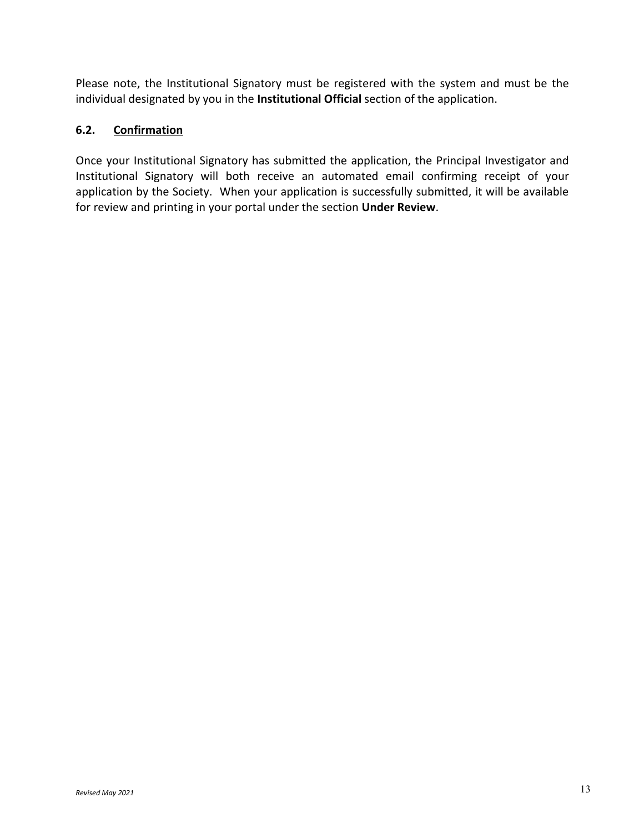Please note, the Institutional Signatory must be registered with the system and must be the individual designated by you in the **Institutional Official** section of the application.

#### **6.2. Confirmation**

Once your Institutional Signatory has submitted the application, the Principal Investigator and Institutional Signatory will both receive an automated email confirming receipt of your application by the Society. When your application is successfully submitted, it will be available for review and printing in your portal under the section **Under Review**.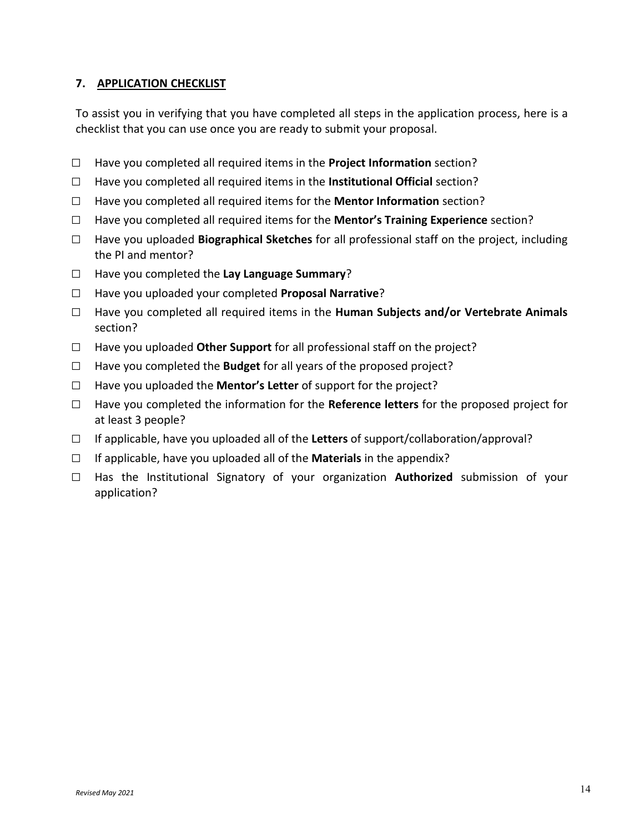#### **7. APPLICATION CHECKLIST**

To assist you in verifying that you have completed all steps in the application process, here is a checklist that you can use once you are ready to submit your proposal.

- □ Have you completed all required items in the **Project Information** section?
- □ Have you completed all required items in the **Institutional Official** section?
- □ Have you completed all required items for the **Mentor Information** section?
- □ Have you completed all required items for the **Mentor's Training Experience** section?
- □ Have you uploaded **Biographical Sketches** for all professional staff on the project, including the PI and mentor?
- □ Have you completed the **Lay Language Summary**?
- □ Have you uploaded your completed **Proposal Narrative**?
- □ Have you completed all required items in the **Human Subjects and/or Vertebrate Animals**  section?
- □ Have you uploaded **Other Support** for all professional staff on the project?
- $\Box$  Have you completed the **Budget** for all years of the proposed project?
- □ Have you uploaded the **Mentor's Letter** of support for the project?
- □ Have you completed the information for the **Reference letters** for the proposed project for at least 3 people?
- □ If applicable, have you uploaded all of the **Letters** of support/collaboration/approval?
- □ If applicable, have you uploaded all of the **Materials** in the appendix?
- □ Has the Institutional Signatory of your organization **Authorized** submission of your application?